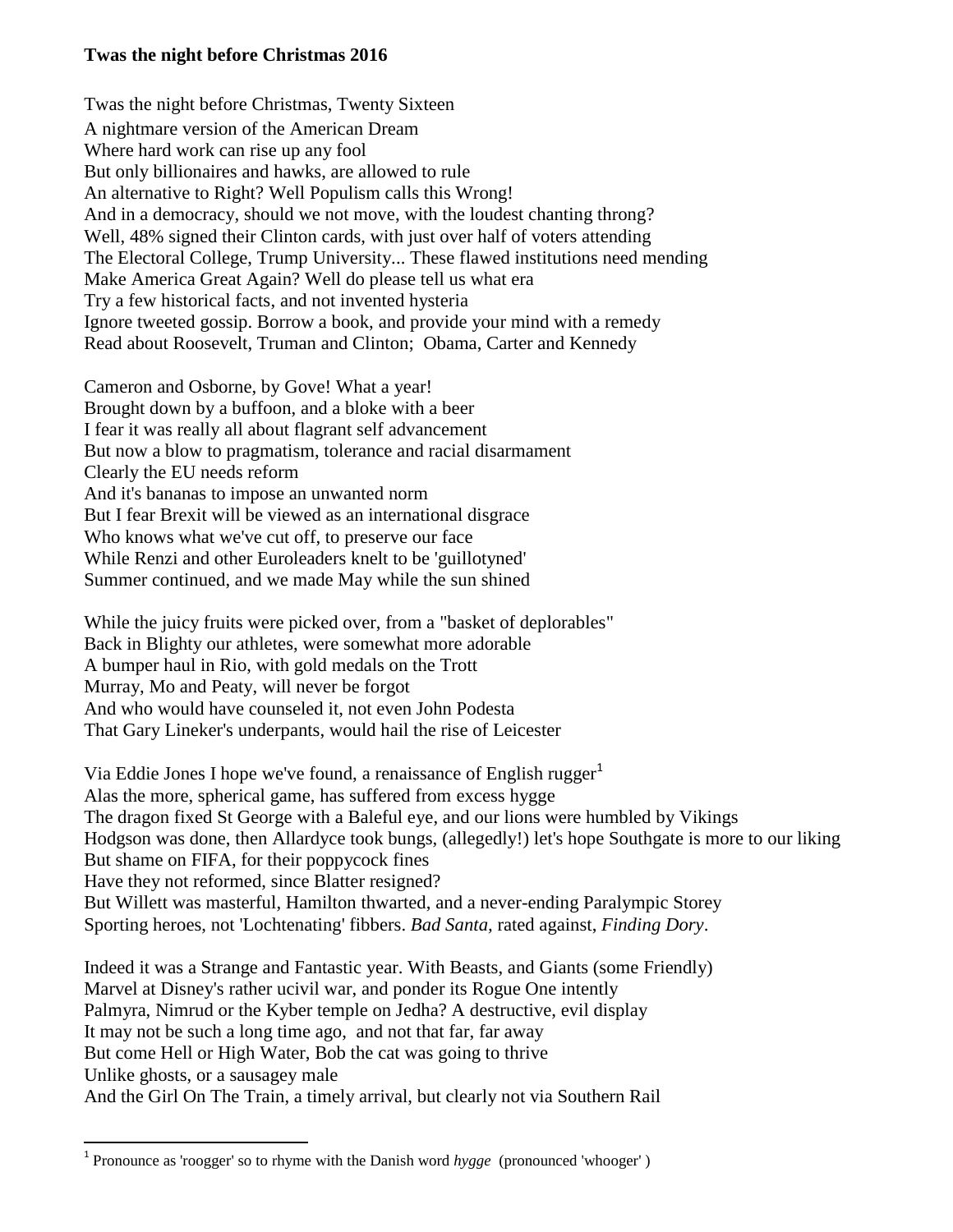## **Twas the night before Christmas 2016**

Twas the night before Christmas, Twenty Sixteen A nightmare version of the American Dream Where hard work can rise up any fool But only billionaires and hawks, are allowed to rule An alternative to Right? Well Populism calls this Wrong! And in a democracy, should we not move, with the loudest chanting throng? Well, 48% signed their Clinton cards, with just over half of voters attending The Electoral College, Trump University... These flawed institutions need mending Make America Great Again? Well do please tell us what era Try a few historical facts, and not invented hysteria Ignore tweeted gossip. Borrow a book, and provide your mind with a remedy Read about Roosevelt, Truman and Clinton; Obama, Carter and Kennedy

Cameron and Osborne, by Gove! What a year! Brought down by a buffoon, and a bloke with a beer I fear it was really all about flagrant self advancement But now a blow to pragmatism, tolerance and racial disarmament Clearly the EU needs reform And it's bananas to impose an unwanted norm But I fear Brexit will be viewed as an international disgrace Who knows what we've cut off, to preserve our face While Renzi and other Euroleaders knelt to be 'guillotyned' Summer continued, and we made May while the sun shined

While the juicy fruits were picked over, from a "basket of deplorables" Back in Blighty our athletes, were somewhat more adorable A bumper haul in Rio, with gold medals on the Trott Murray, Mo and Peaty, will never be forgot And who would have counseled it, not even John Podesta That Gary Lineker's underpants, would hail the rise of Leicester

Via Eddie Jones I hope we've found, a renaissance of English rugger<sup>1</sup> Alas the more, spherical game, has suffered from excess hygge The dragon fixed St George with a Baleful eye, and our lions were humbled by Vikings Hodgson was done, then Allardyce took bungs, (allegedly!) let's hope Southgate is more to our liking But shame on FIFA, for their poppycock fines Have they not reformed, since Blatter resigned? But Willett was masterful, Hamilton thwarted, and a never-ending Paralympic Storey Sporting heroes, not 'Lochtenating' fibbers. *Bad Santa,* rated against, *Finding Dory*.

Indeed it was a Strange and Fantastic year. With Beasts, and Giants (some Friendly) Marvel at Disney's rather ucivil war, and ponder its Rogue One intently Palmyra, Nimrud or the Kyber temple on Jedha? A destructive, evil display It may not be such a long time ago, and not that far, far away But come Hell or High Water, Bob the cat was going to thrive Unlike ghosts, or a sausagey male And the Girl On The Train, a timely arrival, but clearly not via Southern Rail

 $\overline{a}$ 

<sup>&</sup>lt;sup>1</sup> Pronounce as 'roogger' so to rhyme with the Danish word *hygge* (pronounced 'whooger')